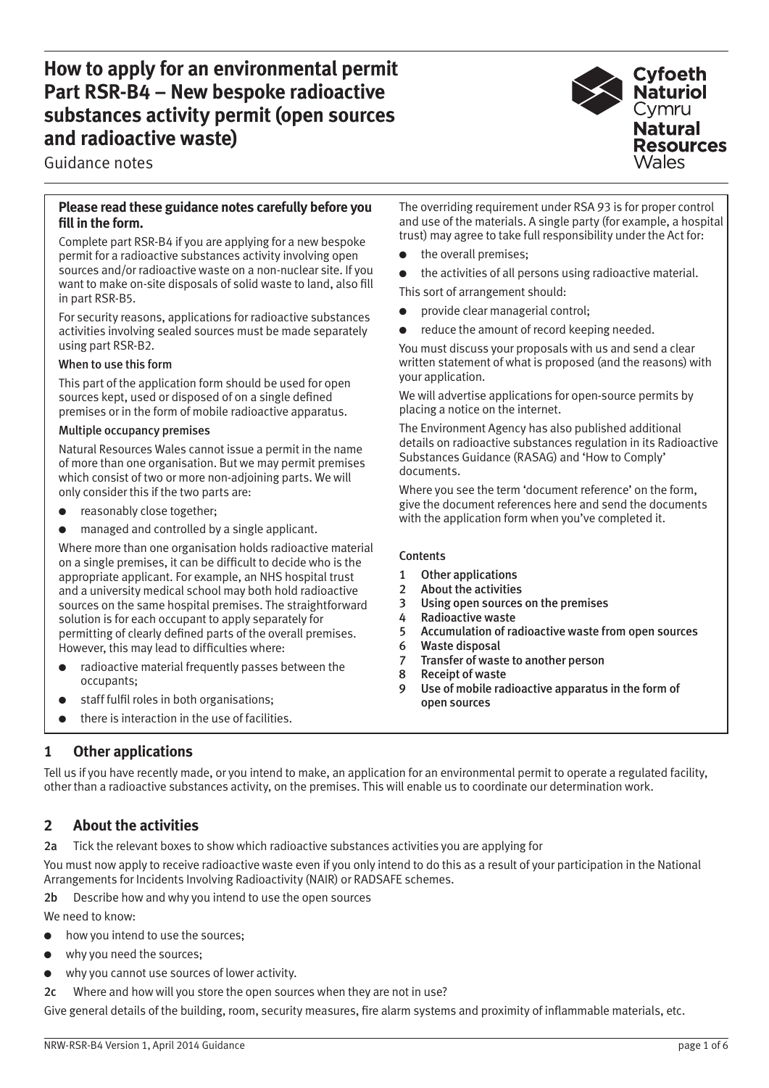# **How to apply for an environmental permit Part RSR-B4 – New bespoke radioactive substances activity permit (open sources and radioactive waste)**

Guidance notes

### **Please read these guidance notes carefully before you fill in the form.**

Complete part RSR-B4 if you are applying for a new bespoke permit for a radioactive substances activity involving open sources and/or radioactive waste on a non-nuclear site. If you want to make on-site disposals of solid waste to land, also fill in part RSR-B5.

For security reasons, applications for radioactive substances activities involving sealed sources must be made separately using part RSR-B2.

### When to use this form

This part of the application form should be used for open sources kept, used or disposed of on a single defined premises or in the form of mobile radioactive apparatus.

#### Multiple occupancy premises

Natural Resources Wales cannot issue a permit in the name of more than one organisation. But we may permit premises which consist of two or more non-adjoining parts. We will only consider this if the two parts are:

- reasonably close together;
- managed and controlled by a single applicant.

Where more than one organisation holds radioactive material on a single premises, it can be difficult to decide who is the appropriate applicant. For example, an NHS hospital trust and a university medical school may both hold radioactive sources on the same hospital premises. The straightforward solution is for each occupant to apply separately for permitting of clearly defined parts of the overall premises. However, this may lead to difficulties where:

- radioactive material frequently passes between the occupants;
- staff fulfil roles in both organisations;
- there is interaction in the use of facilities.

The overriding requirement under RSA 93 is for proper control and use of the materials. A single party (for example, a hospital trust) may agree to take full responsibility under the Act for:

- the overall premises;
- the activities of all persons using radioactive material.

This sort of arrangement should:

- provide clear managerial control;
- reduce the amount of record keeping needed.

You must discuss your proposals with us and send a clear written statement of what is proposed (and the reasons) with your application.

We will advertise applications for open-source permits by placing a notice on the internet.

The Environment Agency has also published additional details on radioactive substances regulation in its Radioactive Substances Guidance (RASAG) and 'How to Comply' documents.

Where you see the term 'document reference' on the form, give the document references here and send the documents with the application form when you've completed it.

#### **Contents**

- 1 Other applications
- 2 About the activities
- 3 Using open sources on the premises
- 4 Radioactive waste<br>5 Accumulation of ra
- 5 Accumulation of radioactive waste from open sources
- 6 Waste disposal
- 7 Transfer of waste to another person
- 8 Receipt of waste
- 9 Use of mobile radioactive apparatus in the form of open sources

## **1 Other applications**

Tell us if you have recently made, or you intend to make, an application for an environmental permit to operate a regulated facility, other than a radioactive substances activity, on the premises. This will enable us to coordinate our determination work.

## **2 About the activities**

2a Tick the relevant boxes to show which radioactive substances activities you are applying for

You must now apply to receive radioactive waste even if you only intend to do this as a result of your participation in the National Arrangements for Incidents Involving Radioactivity (NAIR) or RADSAFE schemes.

2b Describe how and why you intend to use the open sources

We need to know:

- how you intend to use the sources;
- why you need the sources;
- why you cannot use sources of lower activity.

2c Where and how will you store the open sources when they are not in use?

Give general details of the building, room, security measures, fire alarm systems and proximity of inflammable materials, etc.

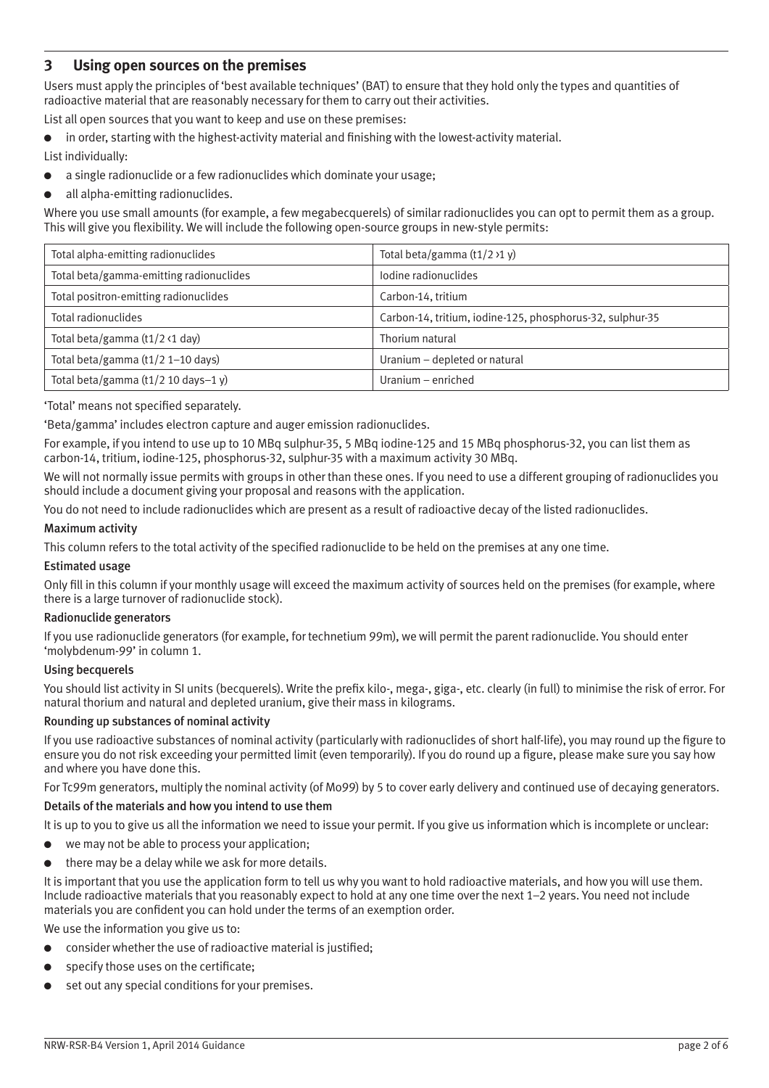# **3 Using open sources on the premises**

Users must apply the principles of 'best available techniques' (BAT) to ensure that they hold only the types and quantities of radioactive material that are reasonably necessary for them to carry out their activities.

List all open sources that you want to keep and use on these premises:

- in order, starting with the highest-activity material and finishing with the lowest-activity material.
- List individually:
- a single radionuclide or a few radionuclides which dominate your usage;
- all alpha-emitting radionuclides.

Where you use small amounts (for example, a few megabecquerels) of similar radionuclides you can opt to permit them as a group. This will give you flexibility. We will include the following open-source groups in new-style permits:

| Total alpha-emitting radionuclides                      | Total beta/gamma (t1/2 >1 y)                              |
|---------------------------------------------------------|-----------------------------------------------------------|
| Total beta/gamma-emitting radionuclides                 | lodine radionuclides                                      |
| Total positron-emitting radionuclides                   | Carbon-14, tritium                                        |
| Total radionuclides                                     | Carbon-14, tritium, iodine-125, phosphorus-32, sulphur-35 |
| Total beta/gamma $(t1/2 \cdot 1$ day)                   | Thorium natural                                           |
| Total beta/gamma (t1/2 1-10 days)                       | Uranium - depleted or natural                             |
| Total beta/gamma $(t1/2 10 \text{ days} - 1 \text{ y})$ | Uranium – enriched                                        |

#### 'Total' means not specified separately.

'Beta/gamma' includes electron capture and auger emission radionuclides.

For example, if you intend to use up to 10 MBq sulphur-35, 5 MBq iodine-125 and 15 MBq phosphorus-32, you can list them as carbon-14, tritium, iodine-125, phosphorus-32, sulphur-35 with a maximum activity 30 MBq.

We will not normally issue permits with groups in other than these ones. If you need to use a different grouping of radionuclides you should include a document giving your proposal and reasons with the application.

You do not need to include radionuclides which are present as a result of radioactive decay of the listed radionuclides.

#### Maximum activity

This column refers to the total activity of the specified radionuclide to be held on the premises at any one time.

#### Estimated usage

Only fill in this column if your monthly usage will exceed the maximum activity of sources held on the premises (for example, where there is a large turnover of radionuclide stock).

#### Radionuclide generators

If you use radionuclide generators (for example, for technetium 99m), we will permit the parent radionuclide. You should enter 'molybdenum-99' in column 1.

#### Using becquerels

You should list activity in SI units (becquerels). Write the prefix kilo-, mega-, giga-, etc. clearly (in full) to minimise the risk of error. For natural thorium and natural and depleted uranium, give their mass in kilograms.

#### Rounding up substances of nominal activity

If you use radioactive substances of nominal activity (particularly with radionuclides of short half-life), you may round up the figure to ensure you do not risk exceeding your permitted limit (even temporarily). If you do round up a figure, please make sure you say how and where you have done this.

For Tc99m generators, multiply the nominal activity (of Mo99) by 5 to cover early delivery and continued use of decaying generators.

#### Details of the materials and how you intend to use them

It is up to you to give us all the information we need to issue your permit. If you give us information which is incomplete or unclear:

- we may not be able to process your application;
- there may be a delay while we ask for more details.

It is important that you use the application form to tell us why you want to hold radioactive materials, and how you will use them. Include radioactive materials that you reasonably expect to hold at any one time over the next 1–2 years. You need not include materials you are confident you can hold under the terms of an exemption order.

We use the information you give us to:

- consider whether the use of radioactive material is justified:
- specify those uses on the certificate;
- set out any special conditions for your premises.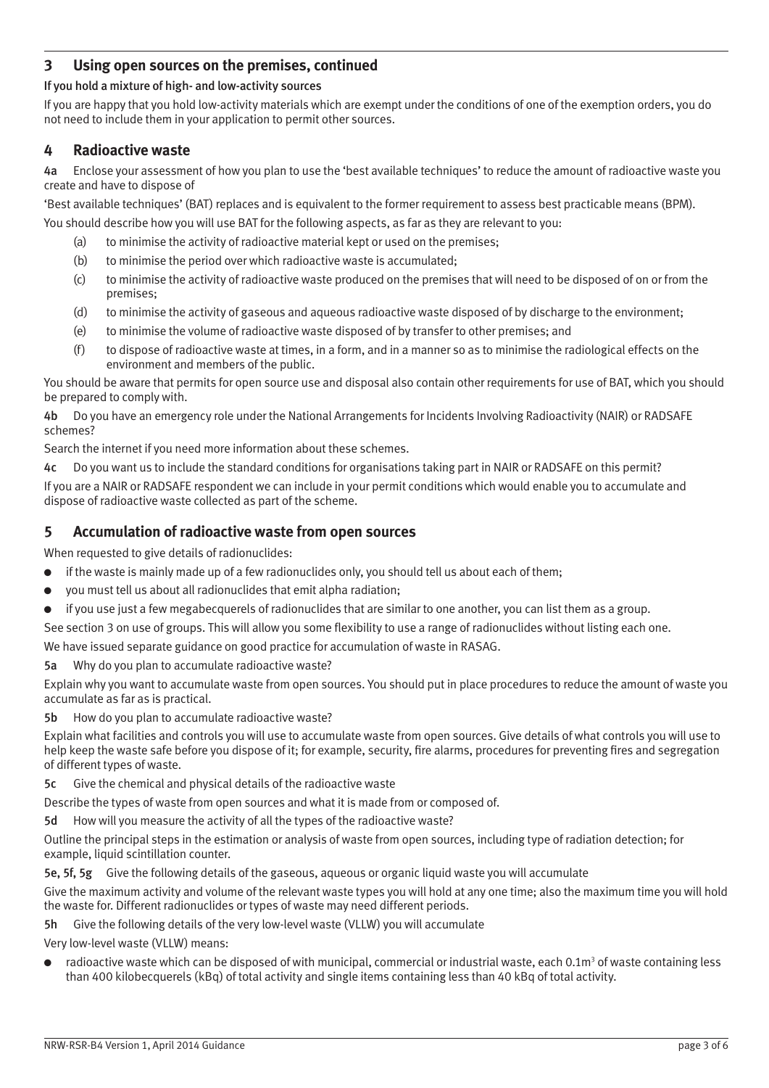# **3 Using open sources on the premises, continued**

### If you hold a mixture of high- and low-activity sources

If you are happy that you hold low-activity materials which are exempt under the conditions of one of the exemption orders, you do not need to include them in your application to permit other sources.

### **4 Radioactive waste**

4a Enclose your assessment of how you plan to use the 'best available techniques' to reduce the amount of radioactive waste you create and have to dispose of

'Best available techniques' (BAT) replaces and is equivalent to the former requirement to assess best practicable means (BPM).

You should describe how you will use BAT for the following aspects, as far as they are relevant to you:

- (a) to minimise the activity of radioactive material kept or used on the premises;
- (b) to minimise the period over which radioactive waste is accumulated;
- (c) to minimise the activity of radioactive waste produced on the premises that will need to be disposed of on or from the premises;
- (d) to minimise the activity of gaseous and aqueous radioactive waste disposed of by discharge to the environment;
- (e) to minimise the volume of radioactive waste disposed of by transfer to other premises; and
- (f) to dispose of radioactive waste at times, in a form, and in a manner so as to minimise the radiological effects on the environment and members of the public.

You should be aware that permits for open source use and disposal also contain other requirements for use of BAT, which you should be prepared to comply with.

4b Do you have an emergency role under the National Arrangements for Incidents Involving Radioactivity (NAIR) or RADSAFE schemes?

Search the internet if you need more information about these schemes.

4c Do you want us to include the standard conditions for organisations taking part in NAIR or RADSAFE on this permit?

If you are a NAIR or RADSAFE respondent we can include in your permit conditions which would enable you to accumulate and dispose of radioactive waste collected as part of the scheme.

### **5 Accumulation of radioactive waste from open sources**

When requested to give details of radionuclides:

- if the waste is mainly made up of a few radionuclides only, you should tell us about each of them;
- you must tell us about all radionuclides that emit alpha radiation;
- if you use just a few megabecquerels of radionuclides that are similar to one another, you can list them as a group.

See section 3 on use of groups. This will allow you some flexibility to use a range of radionuclides without listing each one.

We have issued separate guidance on good practice for accumulation of waste in RASAG.

5a Why do you plan to accumulate radioactive waste?

Explain why you want to accumulate waste from open sources. You should put in place procedures to reduce the amount of waste you accumulate as far as is practical.

5b How do you plan to accumulate radioactive waste?

Explain what facilities and controls you will use to accumulate waste from open sources. Give details of what controls you will use to help keep the waste safe before you dispose of it; for example, security, fire alarms, procedures for preventing fires and segregation of different types of waste.

5c Give the chemical and physical details of the radioactive waste

Describe the types of waste from open sources and what it is made from or composed of.

5d How will you measure the activity of all the types of the radioactive waste?

Outline the principal steps in the estimation or analysis of waste from open sources, including type of radiation detection; for example, liquid scintillation counter.

5e, 5f, 5g Give the following details of the gaseous, aqueous or organic liquid waste you will accumulate

Give the maximum activity and volume of the relevant waste types you will hold at any one time; also the maximum time you will hold the waste for. Different radionuclides or types of waste may need different periods.

5h Give the following details of the very low-level waste (VLLW) you will accumulate

Very low-level waste (VLLW) means:

 $\bullet$  radioactive waste which can be disposed of with municipal, commercial or industrial waste, each 0.1m<sup>3</sup> of waste containing less than 400 kilobecquerels (kBq) of total activity and single items containing less than 40 kBq of total activity.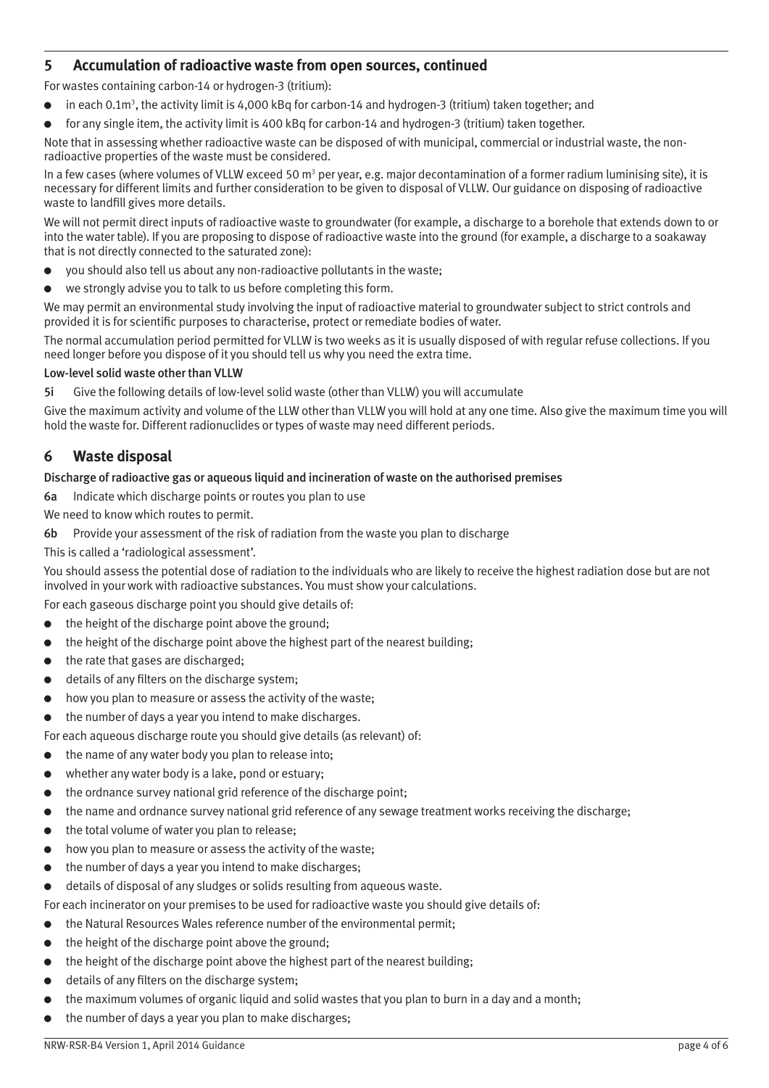# **5 Accumulation of radioactive waste from open sources, continued**

For wastes containing carbon-14 or hydrogen-3 (tritium):

- $\bullet$  in each 0.1m<sup>3</sup>, the activity limit is 4,000 kBq for carbon-14 and hydrogen-3 (tritium) taken together; and
- for any single item, the activity limit is 400 kBq for carbon-14 and hydrogen-3 (tritium) taken together.

Note that in assessing whether radioactive waste can be disposed of with municipal, commercial or industrial waste, the nonradioactive properties of the waste must be considered.

In a few cases (where volumes of VLLW exceed 50 m<sup>3</sup> per year, e.g. major decontamination of a former radium luminising site), it is necessary for different limits and further consideration to be given to disposal of VLLW. Our guidance on disposing of radioactive waste to landfill gives more details.

We will not permit direct inputs of radioactive waste to groundwater (for example, a discharge to a borehole that extends down to or into the water table). If you are proposing to dispose of radioactive waste into the ground (for example, a discharge to a soakaway that is not directly connected to the saturated zone):

- you should also tell us about any non-radioactive pollutants in the waste;
- we strongly advise you to talk to us before completing this form.

We may permit an environmental study involving the input of radioactive material to groundwater subject to strict controls and provided it is for scientific purposes to characterise, protect or remediate bodies of water.

The normal accumulation period permitted for VLLW is two weeks as it is usually disposed of with regular refuse collections. If you need longer before you dispose of it you should tell us why you need the extra time.

#### Low-level solid waste other than VLLW

5i Give the following details of low-level solid waste (other than VLLW) you will accumulate

Give the maximum activity and volume of the LLW other than VLLW you will hold at any one time. Also give the maximum time you will hold the waste for. Different radionuclides or types of waste may need different periods.

### **6 Waste disposal**

#### Discharge of radioactive gas or aqueous liquid and incineration of waste on the authorised premises

6a Indicate which discharge points or routes you plan to use

We need to know which routes to permit.

- 6b Provide your assessment of the risk of radiation from the waste you plan to discharge
- This is called a 'radiological assessment'.

You should assess the potential dose of radiation to the individuals who are likely to receive the highest radiation dose but are not involved in your work with radioactive substances. You must show your calculations.

For each gaseous discharge point you should give details of:

- the height of the discharge point above the ground;
- the height of the discharge point above the highest part of the nearest building;
- the rate that gases are discharged:
- details of any filters on the discharge system;
- how you plan to measure or assess the activity of the waste;
- the number of days a year you intend to make discharges.

For each aqueous discharge route you should give details (as relevant) of:

- the name of any water body you plan to release into;
- whether any water body is a lake, pond or estuary;
- the ordnance survey national grid reference of the discharge point;
- the name and ordnance survey national grid reference of any sewage treatment works receiving the discharge;
- the total volume of water you plan to release;
- how you plan to measure or assess the activity of the waste:
- the number of days a year you intend to make discharges;
- details of disposal of any sludges or solids resulting from aqueous waste.
- For each incinerator on your premises to be used for radioactive waste you should give details of:
- the Natural Resources Wales reference number of the environmental permit;
- the height of the discharge point above the ground:
- the height of the discharge point above the highest part of the nearest building;
- details of any filters on the discharge system;
- the maximum volumes of organic liquid and solid wastes that you plan to burn in a day and a month;
- the number of days a year you plan to make discharges;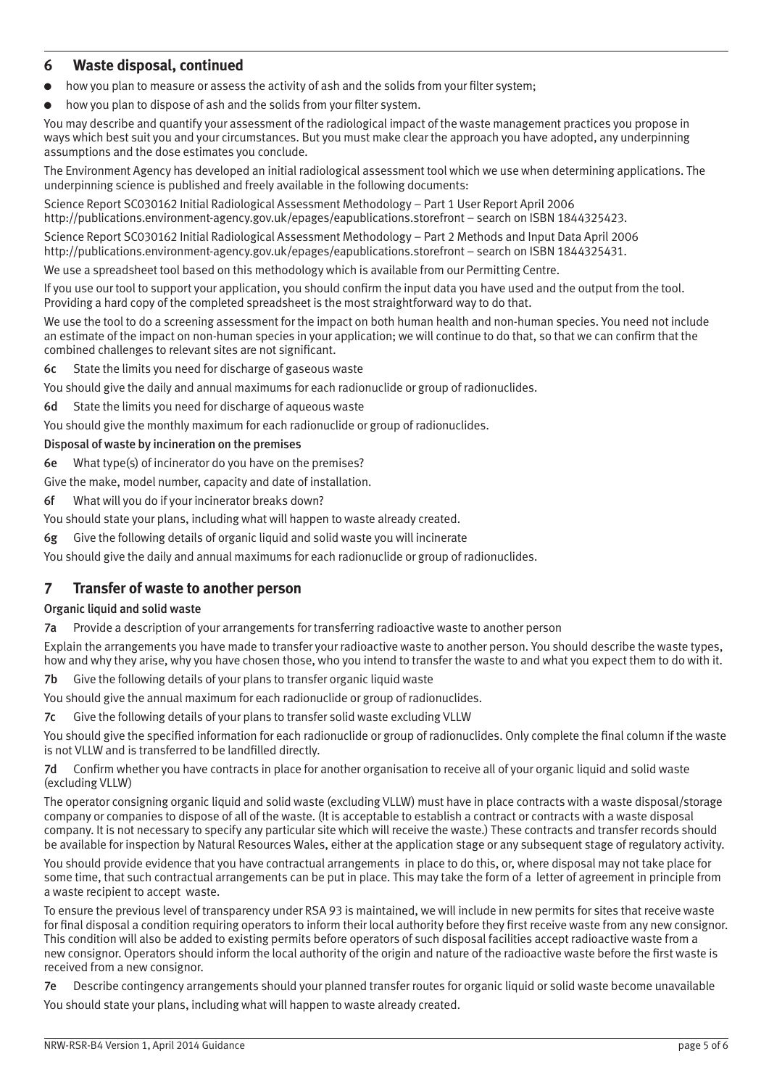### **6 Waste disposal, continued**

- how you plan to measure or assess the activity of ash and the solids from your filter system;
- how you plan to dispose of ash and the solids from your filter system.

You may describe and quantify your assessment of the radiological impact of the waste management practices you propose in ways which best suit you and your circumstances. But you must make clear the approach you have adopted, any underpinning assumptions and the dose estimates you conclude.

The Environment Agency has developed an initial radiological assessment tool which we use when determining applications. The underpinning science is published and freely available in the following documents:

Science Report SC030162 Initial Radiological Assessment Methodology – Part 1 User Report April 2006 http://publications.environment-agency.gov.uk/epages/eapublications.storefront – search on ISBN 1844325423.

Science Report SC030162 Initial Radiological Assessment Methodology – Part 2 Methods and Input Data April 2006 http://publications.environment-agency.gov.uk/epages/eapublications.storefront – search on ISBN 1844325431.

We use a spreadsheet tool based on this methodology which is available from our Permitting Centre.

If you use our tool to support your application, you should confirm the input data you have used and the output from the tool. Providing a hard copy of the completed spreadsheet is the most straightforward way to do that.

We use the tool to do a screening assessment for the impact on both human health and non-human species. You need not include an estimate of the impact on non-human species in your application; we will continue to do that, so that we can confirm that the combined challenges to relevant sites are not significant.

6c State the limits you need for discharge of gaseous waste

You should give the daily and annual maximums for each radionuclide or group of radionuclides.

6d State the limits you need for discharge of aqueous waste

You should give the monthly maximum for each radionuclide or group of radionuclides.

#### Disposal of waste by incineration on the premises

6e What type(s) of incinerator do you have on the premises?

Give the make, model number, capacity and date of installation.

6f What will you do if your incinerator breaks down?

You should state your plans, including what will happen to waste already created.

6g Give the following details of organic liquid and solid waste you will incinerate

You should give the daily and annual maximums for each radionuclide or group of radionuclides.

### **7 Transfer of waste to another person**

### Organic liquid and solid waste

7a Provide a description of your arrangements for transferring radioactive waste to another person

Explain the arrangements you have made to transfer your radioactive waste to another person. You should describe the waste types, how and why they arise, why you have chosen those, who you intend to transfer the waste to and what you expect them to do with it.

7b Give the following details of your plans to transfer organic liquid waste

You should give the annual maximum for each radionuclide or group of radionuclides.

7c Give the following details of your plans to transfer solid waste excluding VLLW

You should give the specified information for each radionuclide or group of radionuclides. Only complete the final column if the waste is not VLLW and is transferred to be landfilled directly.

7d Confirm whether you have contracts in place for another organisation to receive all of your organic liquid and solid waste (excluding VLLW)

The operator consigning organic liquid and solid waste (excluding VLLW) must have in place contracts with a waste disposal/storage company or companies to dispose of all of the waste. (It is acceptable to establish a contract or contracts with a waste disposal company. It is not necessary to specify any particular site which will receive the waste.) These contracts and transfer records should be available for inspection by Natural Resources Wales, either at the application stage or any subsequent stage of regulatory activity.

You should provide evidence that you have contractual arrangements in place to do this, or, where disposal may not take place for some time, that such contractual arrangements can be put in place. This may take the form of a letter of agreement in principle from a waste recipient to accept waste.

To ensure the previous level of transparency under RSA 93 is maintained, we will include in new permits for sites that receive waste for final disposal a condition requiring operators to inform their local authority before they first receive waste from any new consignor. This condition will also be added to existing permits before operators of such disposal facilities accept radioactive waste from a new consignor. Operators should inform the local authority of the origin and nature of the radioactive waste before the first waste is received from a new consignor.

7e Describe contingency arrangements should your planned transfer routes for organic liquid or solid waste become unavailable

You should state your plans, including what will happen to waste already created.